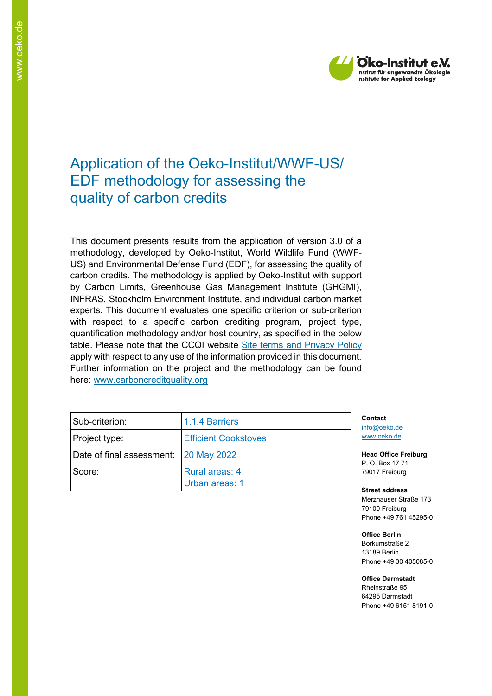

# Application of the Oeko-Institut/WWF-US/ EDF methodology for assessing the quality of carbon credits

This document presents results from the application of version 3.0 of a methodology, developed by Oeko-Institut, World Wildlife Fund (WWF-US) and Environmental Defense Fund (EDF), for assessing the quality of carbon credits. The methodology is applied by Oeko-Institut with support by Carbon Limits, Greenhouse Gas Management Institute (GHGMI), INFRAS, Stockholm Environment Institute, and individual carbon market experts. This document evaluates one specific criterion or sub-criterion with respect to a specific carbon crediting program, project type, quantification methodology and/or host country, as specified in the below table. Please note that the CCQI website [Site terms and Privacy Policy](https://carboncreditquality.org/terms.html) apply with respect to any use of the information provided in this document. Further information on the project and the methodology can be found here: [www.carboncreditquality.org](http://www.carboncreditquality.org/)

| Sub-criterion:                        | 1.1.4 Barriers                          | Conta<br>info@   |
|---------------------------------------|-----------------------------------------|------------------|
| Project type:                         | <b>Efficient Cookstoves</b>             | www.c            |
| Date of final assessment: 20 May 2022 |                                         | Head             |
| Score:                                | <b>Rural areas: 4</b><br>Urban areas: 1 | P. O. I<br>79017 |

**Contact** oeko.de peko.de

**Office Freiburg** Box 17 71 Freiburg

**Street address** Merzhauser Straße 173 79100 Freiburg Phone +49 761 45295-0

**Office Berlin** Borkumstraße 2 13189 Berlin Phone +49 30 405085-0

**Office Darmstadt** Rheinstraße 95 64295 Darmstadt Phone +49 6151 8191-0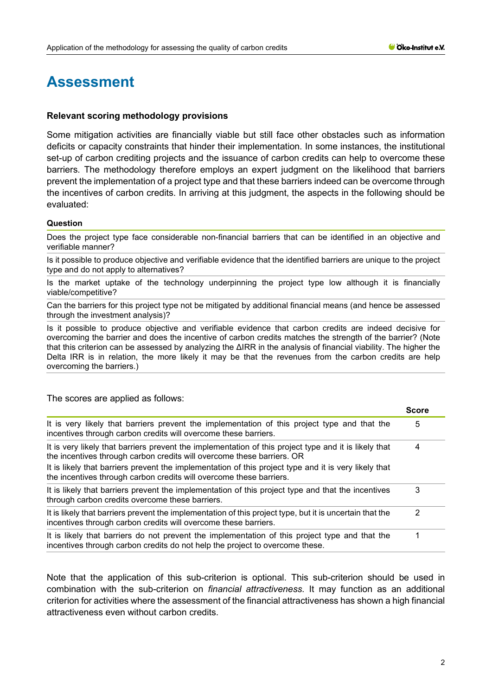# **Assessment**

#### **Relevant scoring methodology provisions**

The scores are applied as follows:

Some mitigation activities are financially viable but still face other obstacles such as information deficits or capacity constraints that hinder their implementation. In some instances, the institutional set-up of carbon crediting projects and the issuance of carbon credits can help to overcome these barriers. The methodology therefore employs an expert judgment on the likelihood that barriers prevent the implementation of a project type and that these barriers indeed can be overcome through the incentives of carbon credits. In arriving at this judgment, the aspects in the following should be evaluated:

#### **Question**

Does the project type face considerable non-financial barriers that can be identified in an objective and verifiable manner?

Is it possible to produce objective and verifiable evidence that the identified barriers are unique to the project type and do not apply to alternatives?

Is the market uptake of the technology underpinning the project type low although it is financially viable/competitive?

Can the barriers for this project type not be mitigated by additional financial means (and hence be assessed through the investment analysis)?

Is it possible to produce objective and verifiable evidence that carbon credits are indeed decisive for overcoming the barrier and does the incentive of carbon credits matches the strength of the barrier? (Note that this criterion can be assessed by analyzing the ΔIRR in the analysis of financial viability. The higher the Delta IRR is in relation, the more likely it may be that the revenues from the carbon credits are help overcoming the barriers.)

|                                                                                                                                                                                                                                                                                                                                                                 | <b>Score</b> |
|-----------------------------------------------------------------------------------------------------------------------------------------------------------------------------------------------------------------------------------------------------------------------------------------------------------------------------------------------------------------|--------------|
| It is very likely that barriers prevent the implementation of this project type and that the<br>incentives through carbon credits will overcome these barriers.                                                                                                                                                                                                 | 5            |
| It is very likely that barriers prevent the implementation of this project type and it is likely that<br>the incentives through carbon credits will overcome these barriers. OR<br>It is likely that barriers prevent the implementation of this project type and it is very likely that<br>the incentives through carbon credits will overcome these barriers. | 4            |
| It is likely that barriers prevent the implementation of this project type and that the incentives<br>through carbon credits overcome these barriers.                                                                                                                                                                                                           | 3            |
| It is likely that barriers prevent the implementation of this project type, but it is uncertain that the<br>incentives through carbon credits will overcome these barriers.                                                                                                                                                                                     | 2            |
| It is likely that barriers do not prevent the implementation of this project type and that the<br>incentives through carbon credits do not help the project to overcome these.                                                                                                                                                                                  | 1            |

Note that the application of this sub-criterion is optional. This sub-criterion should be used in combination with the sub-criterion on *financial attractiveness*. It may function as an additional criterion for activities where the assessment of the financial attractiveness has shown a high financial attractiveness even without carbon credits.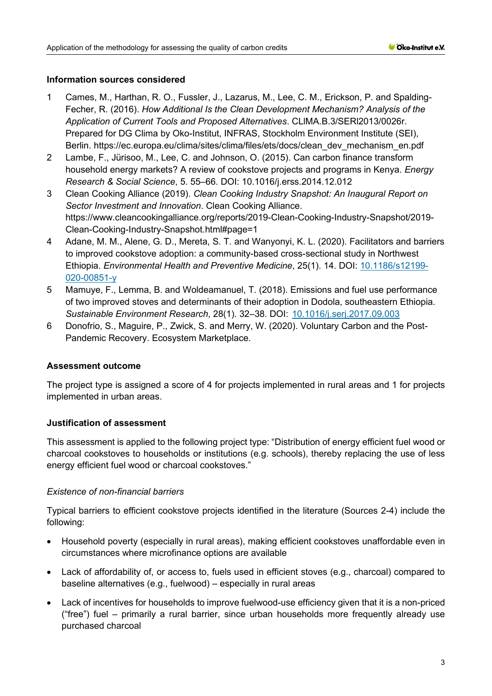#### **Information sources considered**

- 1 Cames, M., Harthan, R. O., Fussler, J., Lazarus, M., Lee, C. M., Erickson, P. and Spalding-Fecher, R. (2016). *How Additional Is the Clean Development Mechanism? Analysis of the Application of Current Tools and Proposed Alternatives*. CLlMA.B.3/SERl2013/0026r. Prepared for DG Clima by Oko-Institut, INFRAS, Stockholm Environment Institute (SEI), Berlin. [https://ec.europa.eu/clima/sites/clima/files/ets/docs/clean\\_dev\\_mechanism\\_en.pdf](https://ec.europa.eu/clima/sites/clima/files/ets/docs/clean_dev_mechanism_en.pdf)
- 2 Lambe, F., Jürisoo, M., Lee, C. and Johnson, O. (2015). Can carbon finance transform household energy markets? A review of cookstove projects and programs in Kenya. *Energy Research & Social Science*, 5. 55–66. DOI: [10.1016/j.erss.2014.12.012](https://doi.org/10.1016/j.erss.2014.12.012)
- 3 Clean Cooking Alliance (2019). *Clean Cooking Industry Snapshot: An Inaugural Report on Sector Investment and Innovation*. Clean Cooking Alliance. [https://www.cleancookingalliance.org/reports/2019-Clean-Cooking-Industry-Snapshot/2019-](https://www.cleancookingalliance.org/reports/2019-Clean-Cooking-Industry-Snapshot/2019-Clean-Cooking-Industry-Snapshot.html#page=1) [Clean-Cooking-Industry-Snapshot.html#page=1](https://www.cleancookingalliance.org/reports/2019-Clean-Cooking-Industry-Snapshot/2019-Clean-Cooking-Industry-Snapshot.html#page=1)
- 4 Adane, M. M., Alene, G. D., Mereta, S. T. and Wanyonyi, K. L. (2020). Facilitators and barriers to improved cookstove adoption: a community-based cross-sectional study in Northwest Ethiopia. *Environmental Health and Preventive Medicine*, 25(1). 14. DOI: [10.1186/s12199-](https://doi.org/10.1186/s12199-020-00851-y) [020-00851-y](https://doi.org/10.1186/s12199-020-00851-y)
- 5 Mamuye, F., Lemma, B. and Woldeamanuel, T. (2018). Emissions and fuel use performance of two improved stoves and determinants of their adoption in Dodola, southeastern Ethiopia. *Sustainable Environment Research*, 28(1). 32–38. DOI: [10.1016/j.serj.2017.09.003](https://doi.org/10.1016/j.serj.2017.09.003)
- 6 Donofrio, S., Maguire, P., Zwick, S. and Merry, W. (2020). Voluntary Carbon and the Post-Pandemic Recovery. Ecosystem Marketplace.

#### **Assessment outcome**

The project type is assigned a score of 4 for projects implemented in rural areas and 1 for projects implemented in urban areas.

#### **Justification of assessment**

This assessment is applied to the following project type: "Distribution of energy efficient fuel wood or charcoal cookstoves to households or institutions (e.g. schools), thereby replacing the use of less energy efficient fuel wood or charcoal cookstoves."

#### *Existence of non-financial barriers*

Typical barriers to efficient cookstove projects identified in the literature (Sources 2-4) include the following:

- Household poverty (especially in rural areas), making efficient cookstoves unaffordable even in circumstances where microfinance options are available
- Lack of affordability of, or access to, fuels used in efficient stoves (e.g., charcoal) compared to baseline alternatives (e.g., fuelwood) – especially in rural areas
- Lack of incentives for households to improve fuelwood-use efficiency given that it is a non-priced ("free") fuel – primarily a rural barrier, since urban households more frequently already use purchased charcoal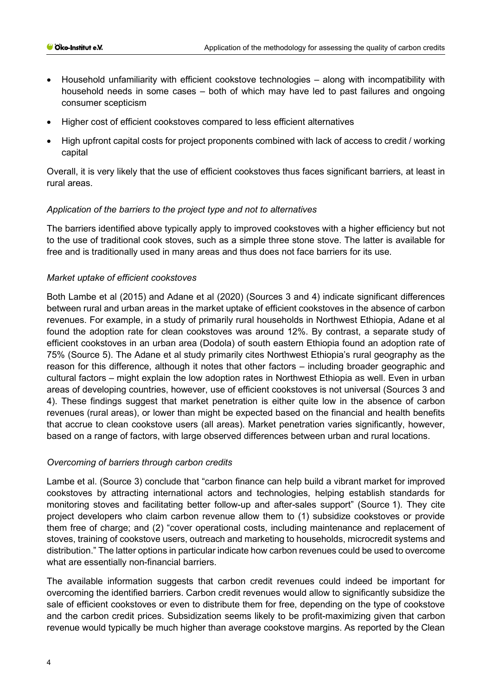- Household unfamiliarity with efficient cookstove technologies along with incompatibility with household needs in some cases – both of which may have led to past failures and ongoing consumer scepticism
- Higher cost of efficient cookstoves compared to less efficient alternatives
- High upfront capital costs for project proponents combined with lack of access to credit / working capital

Overall, it is very likely that the use of efficient cookstoves thus faces significant barriers, at least in rural areas.

## *Application of the barriers to the project type and not to alternatives*

The barriers identified above typically apply to improved cookstoves with a higher efficiency but not to the use of traditional cook stoves, such as a simple three stone stove. The latter is available for free and is traditionally used in many areas and thus does not face barriers for its use.

## *Market uptake of efficient cookstoves*

Both Lambe et al (2015) and Adane et al (2020) (Sources 3 and 4) indicate significant differences between rural and urban areas in the market uptake of efficient cookstoves in the absence of carbon revenues. For example, in a study of primarily rural households in Northwest Ethiopia, Adane et al found the adoption rate for clean cookstoves was around 12%. By contrast, a separate study of efficient cookstoves in an urban area (Dodola) of south eastern Ethiopia found an adoption rate of 75% (Source 5). The Adane et al study primarily cites Northwest Ethiopia's rural geography as the reason for this difference, although it notes that other factors – including broader geographic and cultural factors – might explain the low adoption rates in Northwest Ethiopia as well. Even in urban areas of developing countries, however, use of efficient cookstoves is not universal (Sources 3 and 4). These findings suggest that market penetration is either quite low in the absence of carbon revenues (rural areas), or lower than might be expected based on the financial and health benefits that accrue to clean cookstove users (all areas). Market penetration varies significantly, however, based on a range of factors, with large observed differences between urban and rural locations.

#### *Overcoming of barriers through carbon credits*

Lambe et al. (Source 3) conclude that "carbon finance can help build a vibrant market for improved cookstoves by attracting international actors and technologies, helping establish standards for monitoring stoves and facilitating better follow-up and after-sales support" (Source 1). They cite project developers who claim carbon revenue allow them to (1) subsidize cookstoves or provide them free of charge; and (2) "cover operational costs, including maintenance and replacement of stoves, training of cookstove users, outreach and marketing to households, microcredit systems and distribution." The latter options in particular indicate how carbon revenues could be used to overcome what are essentially non-financial barriers.

The available information suggests that carbon credit revenues could indeed be important for overcoming the identified barriers. Carbon credit revenues would allow to significantly subsidize the sale of efficient cookstoves or even to distribute them for free, depending on the type of cookstove and the carbon credit prices. Subsidization seems likely to be profit-maximizing given that carbon revenue would typically be much higher than average cookstove margins. As reported by the Clean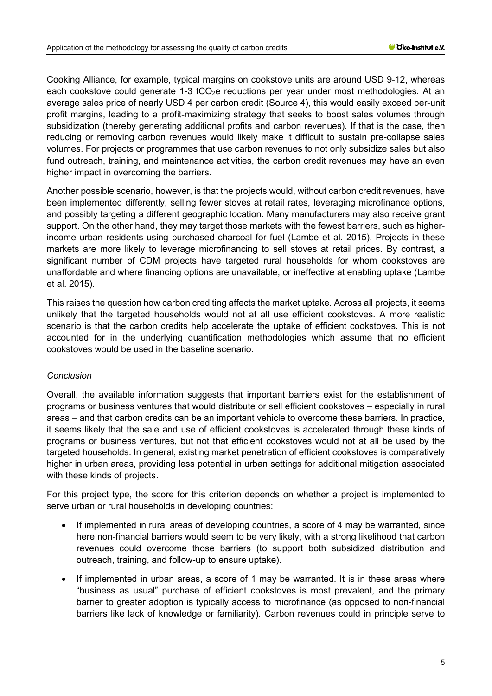Cooking Alliance, for example, typical margins on cookstove units are around USD 9-12, whereas each cookstove could generate 1-3  $tCO<sub>2</sub>e$  reductions per year under most methodologies. At an average sales price of nearly USD 4 per carbon credit (Source 4), this would easily exceed per-unit profit margins, leading to a profit-maximizing strategy that seeks to boost sales volumes through subsidization (thereby generating additional profits and carbon revenues). If that is the case, then reducing or removing carbon revenues would likely make it difficult to sustain pre-collapse sales volumes. For projects or programmes that use carbon revenues to not only subsidize sales but also fund outreach, training, and maintenance activities, the carbon credit revenues may have an even higher impact in overcoming the barriers.

Another possible scenario, however, is that the projects would, without carbon credit revenues, have been implemented differently, selling fewer stoves at retail rates, leveraging microfinance options, and possibly targeting a different geographic location. Many manufacturers may also receive grant support. On the other hand, they may target those markets with the fewest barriers, such as higherincome urban residents using purchased charcoal for fuel (Lambe et al. 2015). Projects in these markets are more likely to leverage microfinancing to sell stoves at retail prices. By contrast, a significant number of CDM projects have targeted rural households for whom cookstoves are unaffordable and where financing options are unavailable, or ineffective at enabling uptake (Lambe et al. 2015).

This raises the question how carbon crediting affects the market uptake. Across all projects, it seems unlikely that the targeted households would not at all use efficient cookstoves. A more realistic scenario is that the carbon credits help accelerate the uptake of efficient cookstoves. This is not accounted for in the underlying quantification methodologies which assume that no efficient cookstoves would be used in the baseline scenario.

#### *Conclusion*

Overall, the available information suggests that important barriers exist for the establishment of programs or business ventures that would distribute or sell efficient cookstoves – especially in rural areas – and that carbon credits can be an important vehicle to overcome these barriers. In practice, it seems likely that the sale and use of efficient cookstoves is accelerated through these kinds of programs or business ventures, but not that efficient cookstoves would not at all be used by the targeted households. In general, existing market penetration of efficient cookstoves is comparatively higher in urban areas, providing less potential in urban settings for additional mitigation associated with these kinds of projects.

For this project type, the score for this criterion depends on whether a project is implemented to serve urban or rural households in developing countries:

- If implemented in rural areas of developing countries, a score of 4 may be warranted, since here non-financial barriers would seem to be very likely, with a strong likelihood that carbon revenues could overcome those barriers (to support both subsidized distribution and outreach, training, and follow-up to ensure uptake).
- If implemented in urban areas, a score of 1 may be warranted. It is in these areas where "business as usual" purchase of efficient cookstoves is most prevalent, and the primary barrier to greater adoption is typically access to microfinance (as opposed to non-financial barriers like lack of knowledge or familiarity). Carbon revenues could in principle serve to